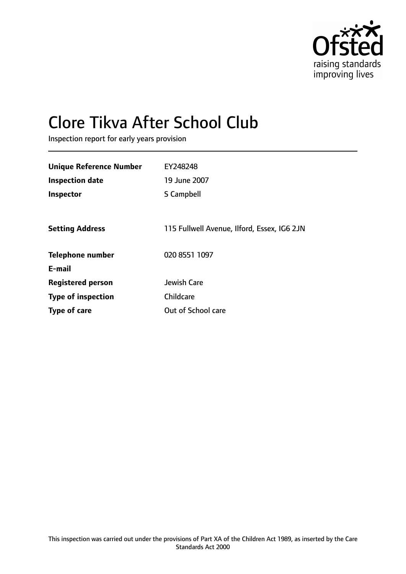

# Clore Tikva After School Club

Inspection report for early years provision

| <b>Unique Reference Number</b> | EY248248                                    |
|--------------------------------|---------------------------------------------|
| <b>Inspection date</b>         | 19 June 2007                                |
| <b>Inspector</b>               | S Campbell                                  |
|                                |                                             |
| <b>Setting Address</b>         | 115 Fullwell Avenue, Ilford, Essex, IG6 2JN |
| <b>Telephone number</b>        | 020 8551 1097                               |
| E-mail                         |                                             |
| <b>Registered person</b>       | Jewish Care                                 |
| <b>Type of inspection</b>      | Childcare                                   |
| Type of care                   | Out of School care                          |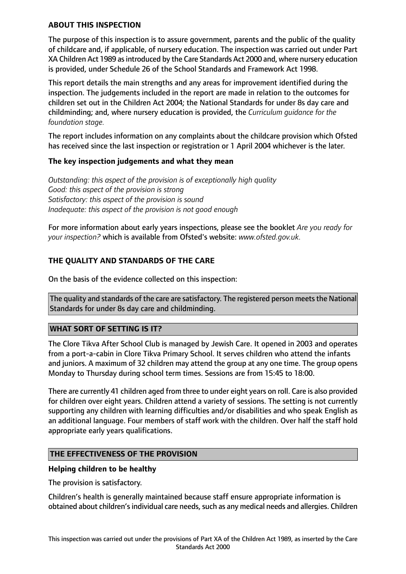#### **ABOUT THIS INSPECTION**

The purpose of this inspection is to assure government, parents and the public of the quality of childcare and, if applicable, of nursery education. The inspection was carried out under Part XA Children Act 1989 as introduced by the Care Standards Act 2000 and, where nursery education is provided, under Schedule 26 of the School Standards and Framework Act 1998.

This report details the main strengths and any areas for improvement identified during the inspection. The judgements included in the report are made in relation to the outcomes for children set out in the Children Act 2004; the National Standards for under 8s day care and childminding; and, where nursery education is provided, the *Curriculum guidance for the foundation stage.*

The report includes information on any complaints about the childcare provision which Ofsted has received since the last inspection or registration or 1 April 2004 whichever is the later.

#### **The key inspection judgements and what they mean**

*Outstanding: this aspect of the provision is of exceptionally high quality Good: this aspect of the provision is strong Satisfactory: this aspect of the provision is sound Inadequate: this aspect of the provision is not good enough*

For more information about early years inspections, please see the booklet *Are you ready for your inspection?* which is available from Ofsted's website: *www.ofsted.gov.uk.*

## **THE QUALITY AND STANDARDS OF THE CARE**

On the basis of the evidence collected on this inspection:

The quality and standards of the care are satisfactory. The registered person meets the National Standards for under 8s day care and childminding.

#### **WHAT SORT OF SETTING IS IT?**

The Clore Tikva After School Club is managed by Jewish Care. It opened in 2003 and operates from a port-a-cabin in Clore Tikva Primary School. It serves children who attend the infants and juniors. A maximum of 32 children may attend the group at any one time. The group opens Monday to Thursday during school term times. Sessions are from 15:45 to 18:00.

There are currently 41 children aged from three to under eight years on roll. Care is also provided for children over eight years. Children attend a variety of sessions. The setting is not currently supporting any children with learning difficulties and/or disabilities and who speak English as an additional language. Four members of staff work with the children. Over half the staff hold appropriate early years qualifications.

#### **THE EFFECTIVENESS OF THE PROVISION**

#### **Helping children to be healthy**

The provision is satisfactory.

Children's health is generally maintained because staff ensure appropriate information is obtained about children's individual care needs, such as any medical needs and allergies. Children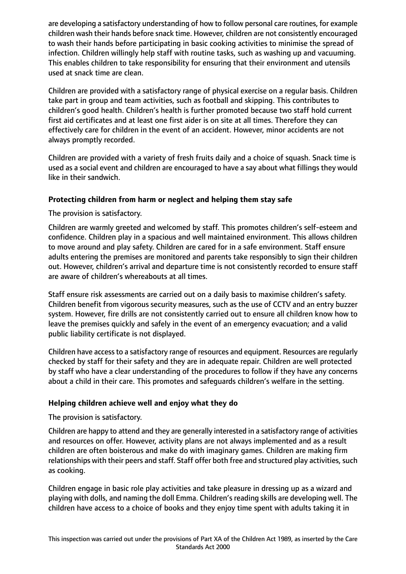are developing a satisfactory understanding of how to follow personal care routines, for example children wash their hands before snack time. However, children are not consistently encouraged to wash their hands before participating in basic cooking activities to minimise the spread of infection. Children willingly help staff with routine tasks, such as washing up and vacuuming. This enables children to take responsibility for ensuring that their environment and utensils used at snack time are clean.

Children are provided with a satisfactory range of physical exercise on a regular basis. Children take part in group and team activities, such as football and skipping. This contributes to children's good health. Children's health is further promoted because two staff hold current first aid certificates and at least one first aider is on site at all times. Therefore they can effectively care for children in the event of an accident. However, minor accidents are not always promptly recorded.

Children are provided with a variety of fresh fruits daily and a choice of squash. Snack time is used as a social event and children are encouraged to have a say about what fillings they would like in their sandwich.

## **Protecting children from harm or neglect and helping them stay safe**

The provision is satisfactory.

Children are warmly greeted and welcomed by staff. This promotes children's self-esteem and confidence. Children play in a spacious and well maintained environment. This allows children to move around and play safety. Children are cared for in a safe environment. Staff ensure adults entering the premises are monitored and parents take responsibly to sign their children out. However, children's arrival and departure time is not consistently recorded to ensure staff are aware of children's whereabouts at all times.

Staff ensure risk assessments are carried out on a daily basis to maximise children's safety. Children benefit from vigorous security measures, such as the use of CCTV and an entry buzzer system. However, fire drills are not consistently carried out to ensure all children know how to leave the premises quickly and safely in the event of an emergency evacuation; and a valid public liability certificate is not displayed.

Children have accessto a satisfactory range of resources and equipment. Resources are regularly checked by staff for their safety and they are in adequate repair. Children are well protected by staff who have a clear understanding of the procedures to follow if they have any concerns about a child in their care. This promotes and safeguards children's welfare in the setting.

## **Helping children achieve well and enjoy what they do**

The provision is satisfactory.

Children are happy to attend and they are generally interested in a satisfactory range of activities and resources on offer. However, activity plans are not always implemented and as a result children are often boisterous and make do with imaginary games. Children are making firm relationships with their peers and staff. Staff offer both free and structured play activities, such as cooking.

Children engage in basic role play activities and take pleasure in dressing up as a wizard and playing with dolls, and naming the doll Emma. Children's reading skills are developing well. The children have access to a choice of books and they enjoy time spent with adults taking it in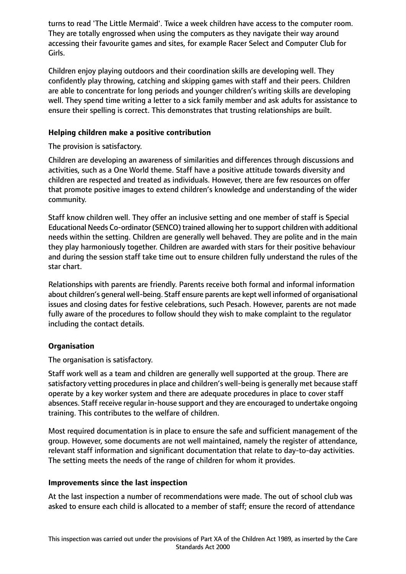turns to read 'The Little Mermaid'. Twice a week children have access to the computer room. They are totally engrossed when using the computers as they navigate their way around accessing their favourite games and sites, for example Racer Select and Computer Club for Girls.

Children enjoy playing outdoors and their coordination skills are developing well. They confidently play throwing, catching and skipping games with staff and their peers. Children are able to concentrate for long periods and younger children's writing skills are developing well. They spend time writing a letter to a sick family member and ask adults for assistance to ensure their spelling is correct. This demonstrates that trusting relationships are built.

## **Helping children make a positive contribution**

The provision is satisfactory.

Children are developing an awareness of similarities and differences through discussions and activities, such as a One World theme. Staff have a positive attitude towards diversity and children are respected and treated as individuals. However, there are few resources on offer that promote positive images to extend children's knowledge and understanding of the wider community.

Staff know children well. They offer an inclusive setting and one member of staff is Special Educational Needs Co-ordinator (SENCO) trained allowing her to support children with additional needs within the setting. Children are generally well behaved. They are polite and in the main they play harmoniously together. Children are awarded with stars for their positive behaviour and during the session staff take time out to ensure children fully understand the rules of the star chart.

Relationships with parents are friendly. Parents receive both formal and informal information about children's general well-being. Staff ensure parents are kept well informed of organisational issues and closing dates for festive celebrations, such Pesach. However, parents are not made fully aware of the procedures to follow should they wish to make complaint to the regulator including the contact details.

## **Organisation**

The organisation is satisfactory.

Staff work well as a team and children are generally well supported at the group. There are satisfactory vetting procedures in place and children's well-being is generally met because staff operate by a key worker system and there are adequate procedures in place to cover staff absences. Staff receive regular in-house support and they are encouraged to undertake ongoing training. This contributes to the welfare of children.

Most required documentation is in place to ensure the safe and sufficient management of the group. However, some documents are not well maintained, namely the register of attendance, relevant staff information and significant documentation that relate to day-to-day activities. The setting meets the needs of the range of children for whom it provides.

#### **Improvements since the last inspection**

At the last inspection a number of recommendations were made. The out of school club was asked to ensure each child is allocated to a member of staff; ensure the record of attendance